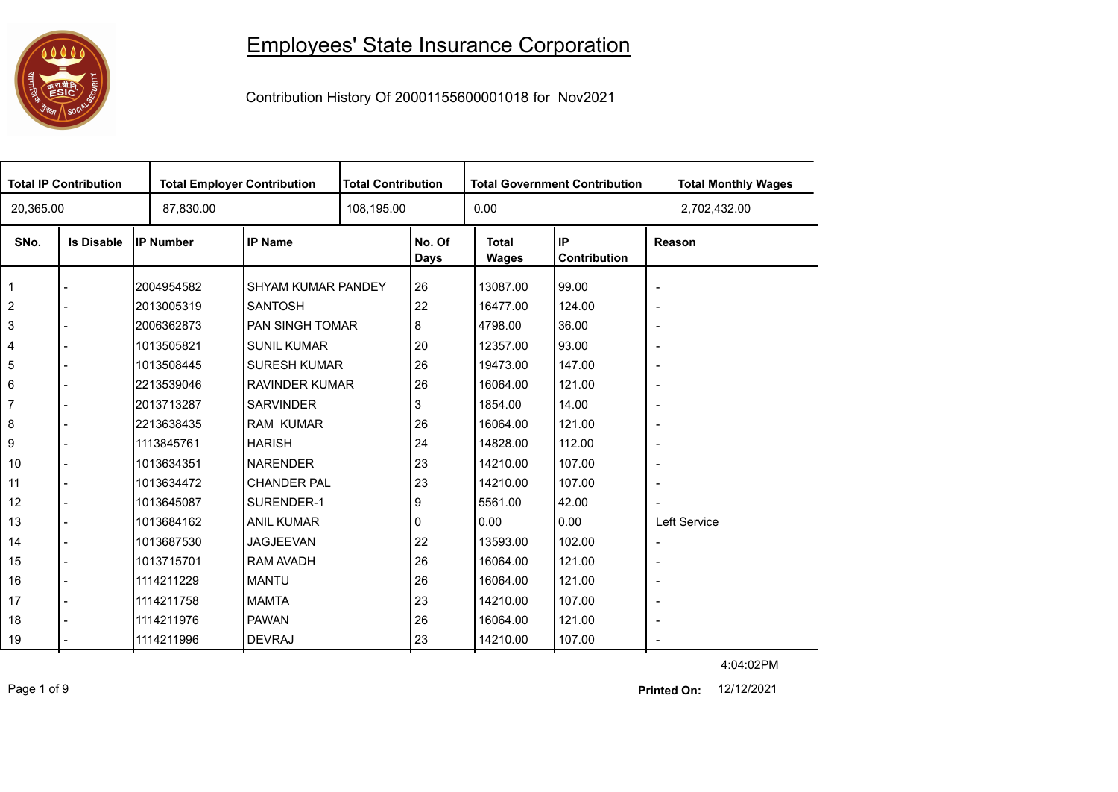

## Employees' State Insurance Corporation

Contribution History Of 20001155600001018 for Nov2021

| <b>Total IP Contribution</b> |                   |                  | <b>Total Employer Contribution</b> |  | <b>Total Contribution</b><br><b>Total Government Contribution</b> |                       |                    |                          | <b>Total Monthly Wages</b> |
|------------------------------|-------------------|------------------|------------------------------------|--|-------------------------------------------------------------------|-----------------------|--------------------|--------------------------|----------------------------|
| 20,365.00                    |                   | 87,830.00        |                                    |  |                                                                   | 0.00                  |                    |                          | 2,702,432.00               |
| SNo.                         | <b>Is Disable</b> | <b>IP Number</b> | <b>IP Name</b>                     |  | No. Of<br><b>Days</b>                                             | <b>Total</b><br>Wages | IP<br>Contribution |                          | Reason                     |
|                              |                   | 2004954582       | SHYAM KUMAR PANDEY                 |  | 26                                                                | 13087.00              | 99.00              | $\overline{\phantom{a}}$ |                            |
| $\sqrt{2}$                   |                   | 2013005319       | <b>SANTOSH</b>                     |  | 22                                                                | 16477.00              | 124.00             | $\overline{\phantom{a}}$ |                            |
| 3                            |                   | 2006362873       | PAN SINGH TOMAR                    |  | 8                                                                 | 4798.00               | 36.00              | $\overline{\phantom{a}}$ |                            |
| $\overline{\mathbf{4}}$      |                   | 1013505821       | <b>SUNIL KUMAR</b>                 |  | 20                                                                | 12357.00              | 93.00              | $\overline{\phantom{a}}$ |                            |
| 5                            |                   | 1013508445       | <b>SURESH KUMAR</b>                |  | 26                                                                | 19473.00              | 147.00             | $\overline{\phantom{a}}$ |                            |
| $\,6\,$                      |                   | 2213539046       | <b>RAVINDER KUMAR</b>              |  | 26                                                                | 16064.00              | 121.00             | $\overline{\phantom{a}}$ |                            |
| $\overline{7}$               |                   | 2013713287       | <b>SARVINDER</b>                   |  | 3                                                                 | 1854.00               | 14.00              | $\overline{\phantom{a}}$ |                            |
| 8                            |                   | 2213638435       | <b>RAM KUMAR</b>                   |  | 26                                                                | 16064.00              | 121.00             | $\overline{\phantom{a}}$ |                            |
| 9                            |                   | 1113845761       | <b>HARISH</b>                      |  | 24                                                                | 14828.00              | 112.00             | $\overline{\phantom{a}}$ |                            |
| 10                           |                   | 1013634351       | <b>NARENDER</b>                    |  | 23                                                                | 14210.00              | 107.00             | $\overline{\phantom{a}}$ |                            |
| 11                           |                   | 1013634472       | <b>CHANDER PAL</b>                 |  | 23                                                                | 14210.00              | 107.00             | $\overline{\phantom{a}}$ |                            |
| 12                           |                   | 1013645087       | SURENDER-1                         |  | 9                                                                 | 5561.00               | 42.00              | $\overline{\phantom{a}}$ |                            |
| 13                           |                   | 1013684162       | <b>ANIL KUMAR</b>                  |  | 0                                                                 | 0.00                  | 0.00               |                          | Left Service               |
| 14                           |                   | 1013687530       | <b>JAGJEEVAN</b>                   |  | 22                                                                | 13593.00              | 102.00             | $\overline{\phantom{a}}$ |                            |
| 15                           |                   | 1013715701       | <b>RAM AVADH</b>                   |  | 26                                                                | 16064.00              | 121.00             | $\blacksquare$           |                            |
| 16                           |                   | 1114211229       | <b>MANTU</b>                       |  | 26                                                                | 16064.00              | 121.00             | $\overline{\phantom{a}}$ |                            |
| 17                           |                   | 1114211758       | <b>MAMTA</b>                       |  | 23                                                                | 14210.00              | 107.00             | $\overline{\phantom{a}}$ |                            |
| 18                           |                   | 1114211976       | <b>PAWAN</b>                       |  | 26                                                                | 16064.00              | 121.00             | $\overline{\phantom{a}}$ |                            |
| 19                           |                   | 1114211996       | <b>DEVRAJ</b>                      |  | 23                                                                | 14210.00              | 107.00             |                          |                            |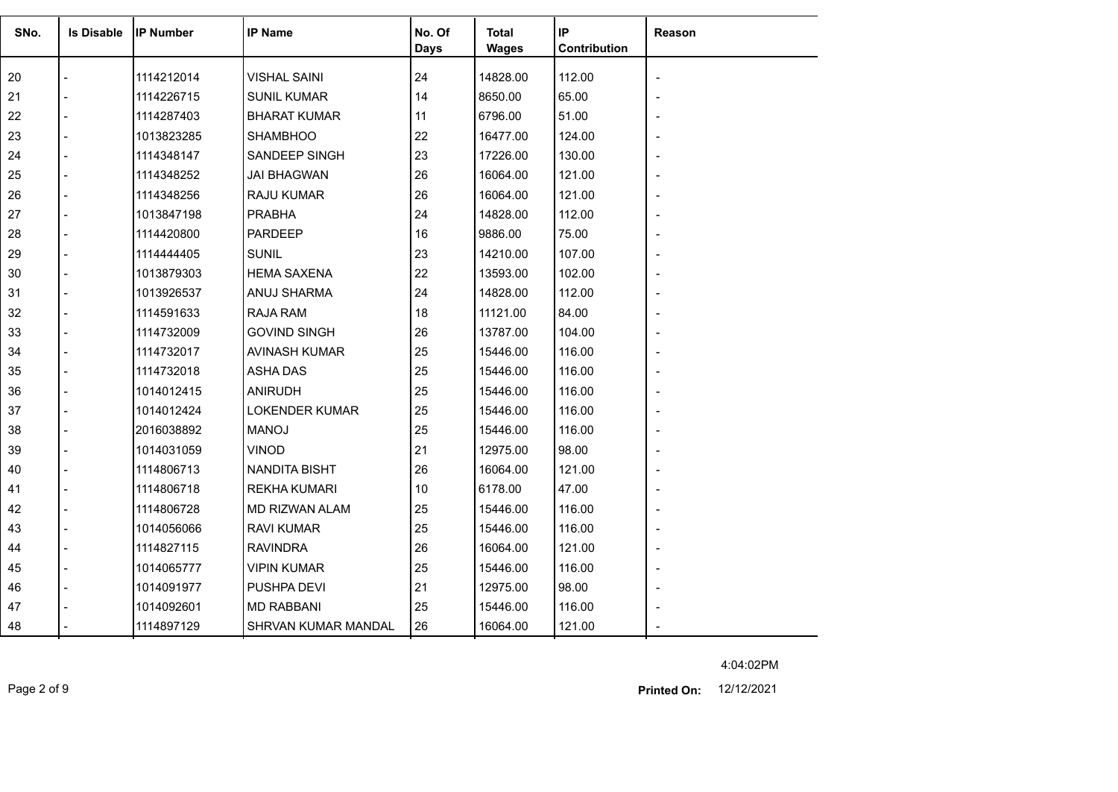| SNo. | <b>Is Disable</b> | <b>IP Number</b> | <b>IP Name</b>        | No. Of<br><b>Days</b> | Total<br><b>Wages</b> | IP<br>Contribution | Reason |
|------|-------------------|------------------|-----------------------|-----------------------|-----------------------|--------------------|--------|
| 20   |                   | 1114212014       | <b>VISHAL SAINI</b>   | 24                    | 14828.00              | 112.00             |        |
| 21   |                   | 1114226715       | <b>SUNIL KUMAR</b>    | 14                    | 8650.00               | 65.00              |        |
| 22   |                   | 1114287403       | <b>BHARAT KUMAR</b>   | 11                    | 6796.00               | 51.00              |        |
| 23   |                   | 1013823285       | <b>SHAMBHOO</b>       | 22                    | 16477.00              | 124.00             |        |
| 24   |                   | 1114348147       | SANDEEP SINGH         | 23                    | 17226.00              | 130.00             |        |
| 25   |                   | 1114348252       | <b>JAI BHAGWAN</b>    | 26                    | 16064.00              | 121.00             |        |
| 26   |                   | 1114348256       | <b>RAJU KUMAR</b>     | 26                    | 16064.00              | 121.00             |        |
| 27   |                   | 1013847198       | <b>PRABHA</b>         | 24                    | 14828.00              | 112.00             |        |
| 28   |                   | 1114420800       | PARDEEP               | 16                    | 9886.00               | 75.00              |        |
| 29   |                   | 1114444405       | <b>SUNIL</b>          | 23                    | 14210.00              | 107.00             |        |
| 30   |                   | 1013879303       | <b>HEMA SAXENA</b>    | 22                    | 13593.00              | 102.00             |        |
| 31   |                   | 1013926537       | ANUJ SHARMA           | 24                    | 14828.00              | 112.00             |        |
| 32   |                   | 1114591633       | RAJA RAM              | 18                    | 11121.00              | 84.00              |        |
| 33   |                   | 1114732009       | <b>GOVIND SINGH</b>   | 26                    | 13787.00              | 104.00             |        |
| 34   |                   | 1114732017       | <b>AVINASH KUMAR</b>  | 25                    | 15446.00              | 116.00             |        |
| 35   |                   | 1114732018       | <b>ASHA DAS</b>       | 25                    | 15446.00              | 116.00             |        |
| 36   |                   | 1014012415       | <b>ANIRUDH</b>        | 25                    | 15446.00              | 116.00             |        |
| 37   |                   | 1014012424       | <b>LOKENDER KUMAR</b> | 25                    | 15446.00              | 116.00             |        |
| 38   |                   | 2016038892       | <b>MANOJ</b>          | 25                    | 15446.00              | 116.00             |        |
| 39   |                   | 1014031059       | <b>VINOD</b>          | 21                    | 12975.00              | 98.00              |        |
| 40   |                   | 1114806713       | <b>NANDITA BISHT</b>  | 26                    | 16064.00              | 121.00             |        |
| 41   |                   | 1114806718       | <b>REKHA KUMARI</b>   | 10                    | 6178.00               | 47.00              |        |
| 42   |                   | 1114806728       | MD RIZWAN ALAM        | 25                    | 15446.00              | 116.00             |        |
| 43   |                   | 1014056066       | RAVI KUMAR            | 25                    | 15446.00              | 116.00             |        |
| 44   |                   | 1114827115       | <b>RAVINDRA</b>       | 26                    | 16064.00              | 121.00             |        |
| 45   |                   | 1014065777       | <b>VIPIN KUMAR</b>    | 25                    | 15446.00              | 116.00             |        |
| 46   |                   | 1014091977       | PUSHPA DEVI           | 21                    | 12975.00              | 98.00              |        |
| 47   |                   | 1014092601       | <b>MD RABBANI</b>     | 25                    | 15446.00              | 116.00             |        |
| 48   |                   | 1114897129       | SHRVAN KUMAR MANDAL   | 26                    | 16064.00              | 121.00             |        |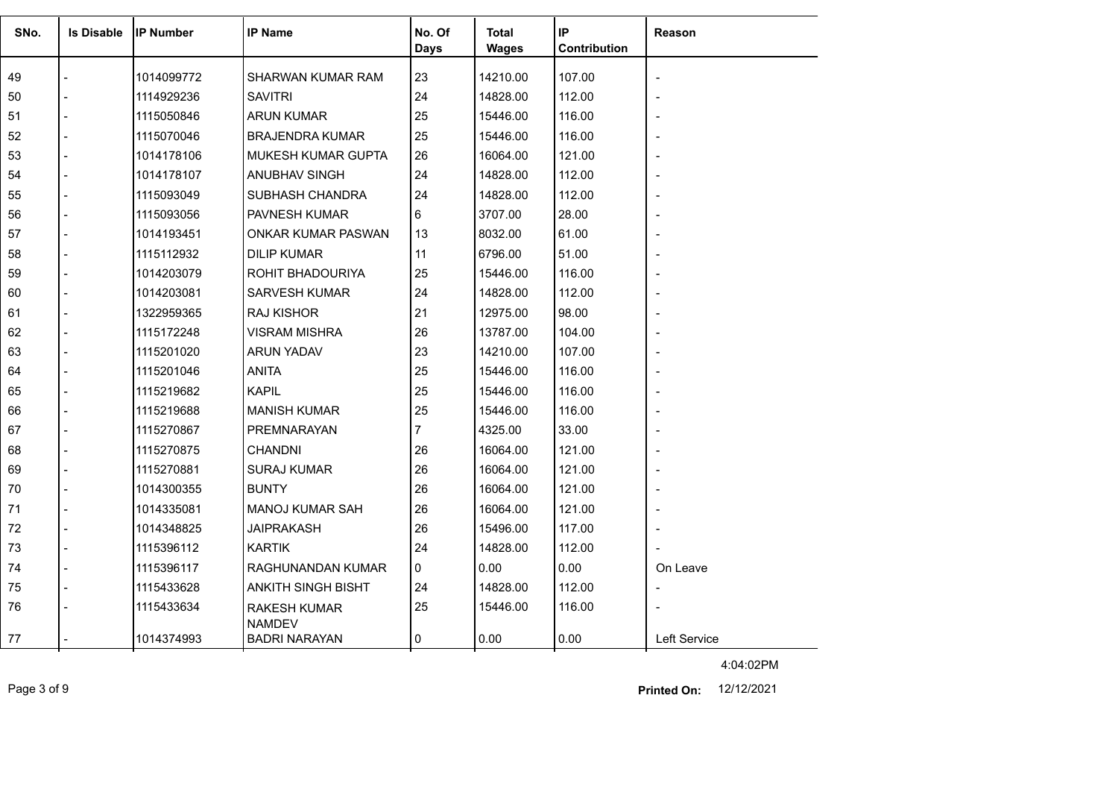| SNo. | <b>Is Disable</b> | <b>IP Number</b> | <b>IP Name</b>                       | No. Of<br><b>Days</b> | <b>Total</b><br><b>Wages</b> | IP<br>Contribution | Reason       |
|------|-------------------|------------------|--------------------------------------|-----------------------|------------------------------|--------------------|--------------|
| 49   |                   | 1014099772       | SHARWAN KUMAR RAM                    | 23                    | 14210.00                     | 107.00             |              |
| 50   |                   | 1114929236       | <b>SAVITRI</b>                       | 24                    | 14828.00                     | 112.00             |              |
| 51   |                   | 1115050846       | <b>ARUN KUMAR</b>                    | 25                    | 15446.00                     | 116.00             |              |
| 52   |                   | 1115070046       | <b>BRAJENDRA KUMAR</b>               | 25                    | 15446.00                     | 116.00             |              |
| 53   |                   | 1014178106       | MUKESH KUMAR GUPTA                   | 26                    | 16064.00                     | 121.00             |              |
| 54   |                   | 1014178107       | ANUBHAV SINGH                        | 24                    | 14828.00                     | 112.00             |              |
| 55   |                   | 1115093049       | SUBHASH CHANDRA                      | 24                    | 14828.00                     | 112.00             |              |
| 56   |                   | 1115093056       | PAVNESH KUMAR                        | 6                     | 3707.00                      | 28.00              |              |
| 57   |                   | 1014193451       | ONKAR KUMAR PASWAN                   | 13                    | 8032.00                      | 61.00              |              |
| 58   |                   | 1115112932       | <b>DILIP KUMAR</b>                   | 11                    | 6796.00                      | 51.00              |              |
| 59   |                   | 1014203079       | ROHIT BHADOURIYA                     | 25                    | 15446.00                     | 116.00             |              |
| 60   |                   | 1014203081       | <b>SARVESH KUMAR</b>                 | 24                    | 14828.00                     | 112.00             |              |
| 61   |                   | 1322959365       | <b>RAJ KISHOR</b>                    | 21                    | 12975.00                     | 98.00              |              |
| 62   |                   | 1115172248       | <b>VISRAM MISHRA</b>                 | 26                    | 13787.00                     | 104.00             |              |
| 63   |                   | 1115201020       | <b>ARUN YADAV</b>                    | 23                    | 14210.00                     | 107.00             |              |
| 64   |                   | 1115201046       | <b>ANITA</b>                         | 25                    | 15446.00                     | 116.00             |              |
| 65   |                   | 1115219682       | <b>KAPIL</b>                         | 25                    | 15446.00                     | 116.00             |              |
| 66   |                   | 1115219688       | <b>MANISH KUMAR</b>                  | 25                    | 15446.00                     | 116.00             |              |
| 67   |                   | 1115270867       | PREMNARAYAN                          | 7                     | 4325.00                      | 33.00              |              |
| 68   |                   | 1115270875       | <b>CHANDNI</b>                       | 26                    | 16064.00                     | 121.00             |              |
| 69   |                   | 1115270881       | <b>SURAJ KUMAR</b>                   | 26                    | 16064.00                     | 121.00             |              |
| 70   |                   | 1014300355       | <b>BUNTY</b>                         | 26                    | 16064.00                     | 121.00             |              |
| 71   |                   | 1014335081       | <b>MANOJ KUMAR SAH</b>               | 26                    | 16064.00                     | 121.00             |              |
| 72   |                   | 1014348825       | JAIPRAKASH                           | 26                    | 15496.00                     | 117.00             |              |
| 73   |                   | 1115396112       | <b>KARTIK</b>                        | 24                    | 14828.00                     | 112.00             |              |
| 74   |                   | 1115396117       | RAGHUNANDAN KUMAR                    | $\Omega$              | 0.00                         | 0.00               | On Leave     |
| 75   |                   | 1115433628       | <b>ANKITH SINGH BISHT</b>            | 24                    | 14828.00                     | 112.00             |              |
| 76   |                   | 1115433634       | <b>RAKESH KUMAR</b><br><b>NAMDEV</b> | 25                    | 15446.00                     | 116.00             |              |
| 77   |                   | 1014374993       | <b>BADRI NARAYAN</b>                 | $\Omega$              | 0.00                         | 0.00               | Left Service |

Page 3 of 9 12/12/2021 **Printed On:**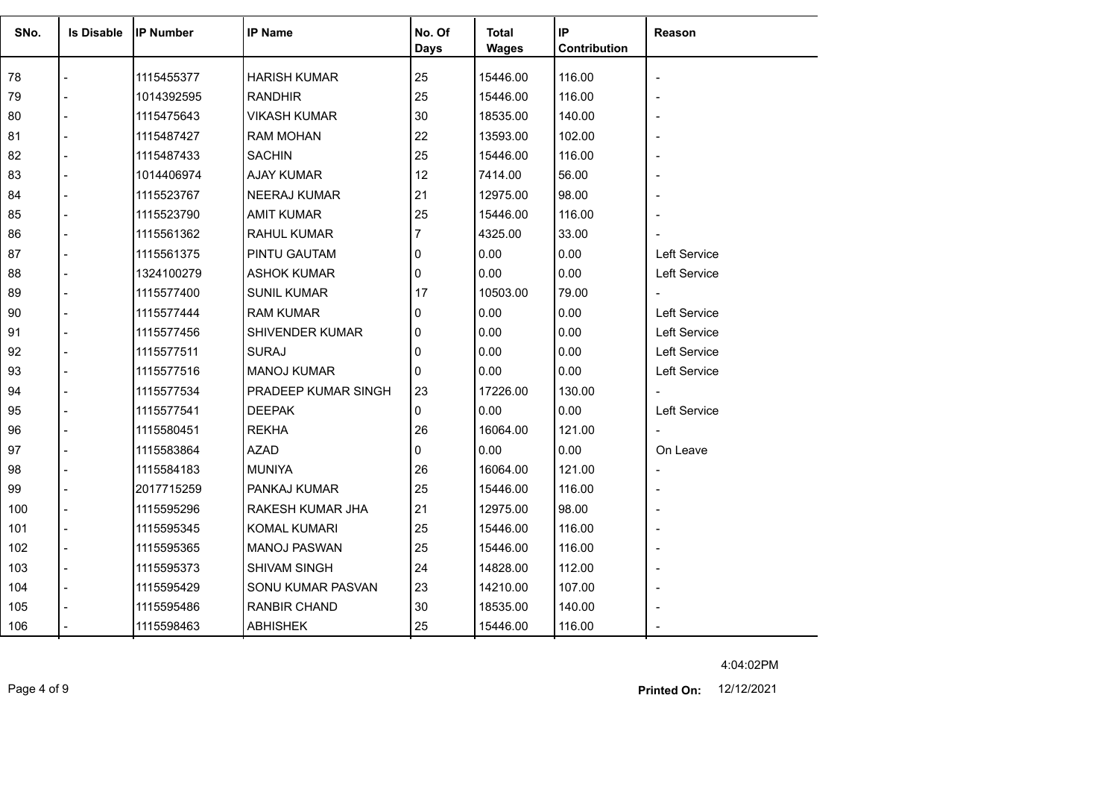| SNo. | <b>Is Disable</b> | <b>IP Number</b> | <b>IP Name</b>         | No. Of<br><b>Days</b> | <b>Total</b><br><b>Wages</b> | IP<br>Contribution | Reason                   |
|------|-------------------|------------------|------------------------|-----------------------|------------------------------|--------------------|--------------------------|
|      |                   |                  |                        |                       |                              |                    |                          |
| 78   |                   | 1115455377       | <b>HARISH KUMAR</b>    | 25                    | 15446.00                     | 116.00             | $\overline{\phantom{a}}$ |
| 79   |                   | 1014392595       | <b>RANDHIR</b>         | 25                    | 15446.00                     | 116.00             |                          |
| 80   |                   | 1115475643       | <b>VIKASH KUMAR</b>    | 30                    | 18535.00                     | 140.00             |                          |
| 81   |                   | 1115487427       | <b>RAM MOHAN</b>       | 22                    | 13593.00                     | 102.00             |                          |
| 82   |                   | 1115487433       | <b>SACHIN</b>          | 25                    | 15446.00                     | 116.00             |                          |
| 83   |                   | 1014406974       | <b>AJAY KUMAR</b>      | 12                    | 7414.00                      | 56.00              |                          |
| 84   |                   | 1115523767       | NEERAJ KUMAR           | 21                    | 12975.00                     | 98.00              |                          |
| 85   |                   | 1115523790       | <b>AMIT KUMAR</b>      | 25                    | 15446.00                     | 116.00             |                          |
| 86   |                   | 1115561362       | RAHUL KUMAR            | 7                     | 4325.00                      | 33.00              |                          |
| 87   |                   | 1115561375       | PINTU GAUTAM           | 0                     | 0.00                         | 0.00               | Left Service             |
| 88   |                   | 1324100279       | <b>ASHOK KUMAR</b>     | 0                     | 0.00                         | 0.00               | Left Service             |
| 89   |                   | 1115577400       | <b>SUNIL KUMAR</b>     | 17                    | 10503.00                     | 79.00              | $\blacksquare$           |
| 90   |                   | 1115577444       | RAM KUMAR              | 0                     | 0.00                         | 0.00               | Left Service             |
| 91   |                   | 1115577456       | <b>SHIVENDER KUMAR</b> | 0                     | 0.00                         | 0.00               | Left Service             |
| 92   |                   | 1115577511       | <b>SURAJ</b>           | 0                     | 0.00                         | 0.00               | Left Service             |
| 93   |                   | 1115577516       | <b>MANOJ KUMAR</b>     | 0                     | 0.00                         | 0.00               | Left Service             |
| 94   |                   | 1115577534       | PRADEEP KUMAR SINGH    | 23                    | 17226.00                     | 130.00             | $\overline{\phantom{a}}$ |
| 95   |                   | 1115577541       | <b>DEEPAK</b>          | 0                     | 0.00                         | 0.00               | Left Service             |
| 96   |                   | 1115580451       | <b>REKHA</b>           | 26                    | 16064.00                     | 121.00             | $\overline{\phantom{a}}$ |
| 97   |                   | 1115583864       | <b>AZAD</b>            | 0                     | 0.00                         | 0.00               | On Leave                 |
| 98   |                   | 1115584183       | <b>MUNIYA</b>          | 26                    | 16064.00                     | 121.00             |                          |
| 99   |                   | 2017715259       | PANKAJ KUMAR           | 25                    | 15446.00                     | 116.00             |                          |
| 100  |                   | 1115595296       | RAKESH KUMAR JHA       | 21                    | 12975.00                     | 98.00              |                          |
| 101  |                   | 1115595345       | <b>KOMAL KUMARI</b>    | 25                    | 15446.00                     | 116.00             |                          |
| 102  |                   | 1115595365       | <b>MANOJ PASWAN</b>    | 25                    | 15446.00                     | 116.00             |                          |
| 103  |                   | 1115595373       | <b>SHIVAM SINGH</b>    | 24                    | 14828.00                     | 112.00             |                          |
| 104  |                   | 1115595429       | SONU KUMAR PASVAN      | 23                    | 14210.00                     | 107.00             |                          |
| 105  |                   | 1115595486       | <b>RANBIR CHAND</b>    | 30                    | 18535.00                     | 140.00             |                          |
| 106  |                   | 1115598463       | <b>ABHISHEK</b>        | 25                    | 15446.00                     | 116.00             |                          |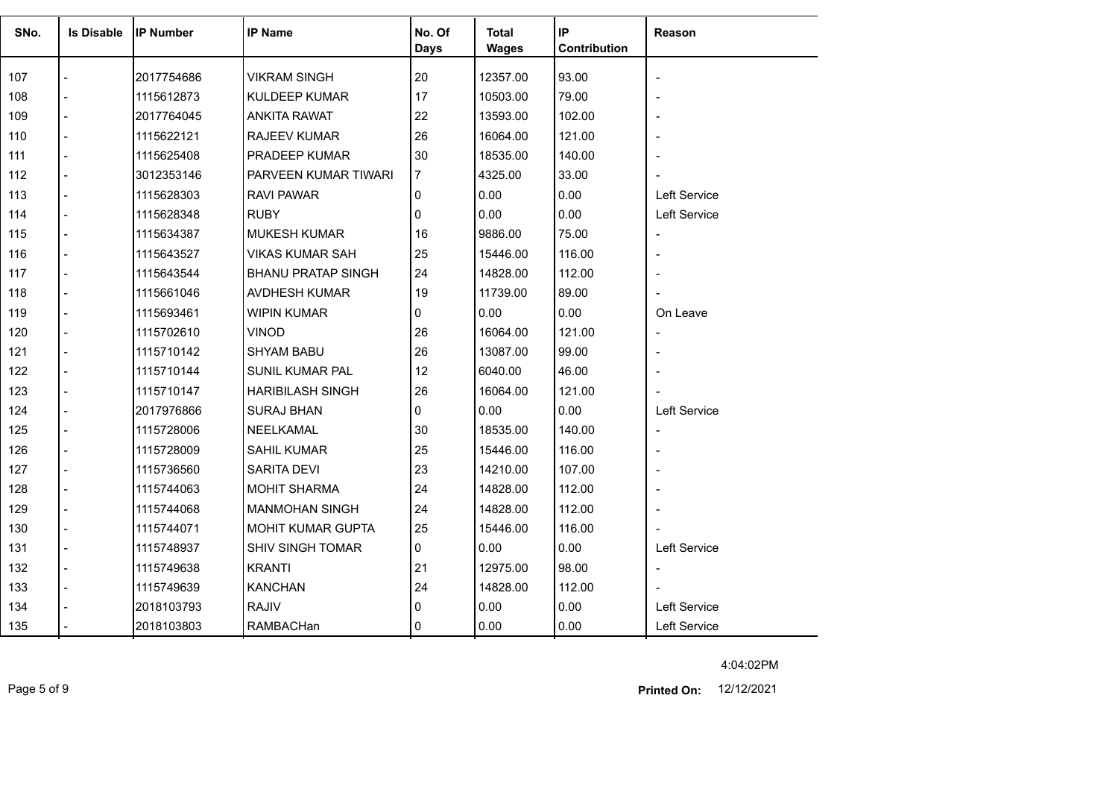| SNo. | <b>Is Disable</b> | <b>IP Number</b> | <b>IP Name</b>            | No. Of         | <b>Total</b> | IP           | Reason                       |
|------|-------------------|------------------|---------------------------|----------------|--------------|--------------|------------------------------|
|      |                   |                  |                           | <b>Days</b>    | <b>Wages</b> | Contribution |                              |
| 107  |                   | 2017754686       | <b>VIKRAM SINGH</b>       | 20             | 12357.00     | 93.00        | $\blacksquare$               |
| 108  |                   | 1115612873       | <b>KULDEEP KUMAR</b>      | 17             | 10503.00     | 79.00        |                              |
| 109  |                   | 2017764045       | ANKITA RAWAT              | 22             | 13593.00     | 102.00       |                              |
| 110  |                   | 1115622121       | <b>RAJEEV KUMAR</b>       | 26             | 16064.00     | 121.00       |                              |
| 111  |                   | 1115625408       | PRADEEP KUMAR             | 30             | 18535.00     | 140.00       |                              |
| 112  |                   | 3012353146       | PARVEEN KUMAR TIWARI      | $\overline{7}$ | 4325.00      | 33.00        |                              |
| 113  | $\overline{a}$    | 1115628303       | RAVI PAWAR                | 0              | 0.00         | 0.00         | <b>Left Service</b>          |
| 114  | $\overline{a}$    | 1115628348       | <b>RUBY</b>               | $\Omega$       | 0.00         | 0.00         | Left Service                 |
| 115  |                   | 1115634387       | <b>MUKESH KUMAR</b>       | 16             | 9886.00      | 75.00        |                              |
| 116  | $\overline{a}$    | 1115643527       | VIKAS KUMAR SAH           | 25             | 15446.00     | 116.00       |                              |
| 117  |                   | 1115643544       | <b>BHANU PRATAP SINGH</b> | 24             | 14828.00     | 112.00       |                              |
| 118  |                   | 1115661046       | AVDHESH KUMAR             | 19             | 11739.00     | 89.00        |                              |
| 119  | $\overline{a}$    | 1115693461       | WIPIN KUMAR               | 0              | 0.00         | 0.00         | On Leave                     |
| 120  |                   | 1115702610       | VINOD                     | 26             | 16064.00     | 121.00       | $\overline{\phantom{a}}$     |
| 121  |                   | 1115710142       | <b>SHYAM BABU</b>         | 26             | 13087.00     | 99.00        |                              |
| 122  |                   | 1115710144       | SUNIL KUMAR PAL           | 12             | 6040.00      | 46.00        |                              |
| 123  |                   | 1115710147       | <b>HARIBILASH SINGH</b>   | 26             | 16064.00     | 121.00       |                              |
| 124  |                   | 2017976866       | <b>SURAJ BHAN</b>         | 0              | 0.00         | 0.00         | Left Service                 |
| 125  |                   | 1115728006       | NEELKAMAL                 | 30             | 18535.00     | 140.00       | $\qquad \qquad \blacksquare$ |
| 126  |                   | 1115728009       | SAHIL KUMAR               | 25             | 15446.00     | 116.00       | $\overline{\phantom{a}}$     |
| 127  |                   | 1115736560       | SARITA DEVI               | 23             | 14210.00     | 107.00       |                              |
| 128  |                   | 1115744063       | <b>MOHIT SHARMA</b>       | 24             | 14828.00     | 112.00       |                              |
| 129  |                   | 1115744068       | <b>MANMOHAN SINGH</b>     | 24             | 14828.00     | 112.00       |                              |
| 130  |                   | 1115744071       | MOHIT KUMAR GUPTA         | 25             | 15446.00     | 116.00       |                              |
| 131  | $\overline{a}$    | 1115748937       | <b>SHIV SINGH TOMAR</b>   | $\mathbf{0}$   | 0.00         | 0.00         | Left Service                 |
| 132  |                   | 1115749638       | <b>KRANTI</b>             | 21             | 12975.00     | 98.00        | $\blacksquare$               |
| 133  |                   | 1115749639       | <b>KANCHAN</b>            | 24             | 14828.00     | 112.00       |                              |
| 134  |                   | 2018103793       | <b>RAJIV</b>              | 0              | 0.00         | 0.00         | Left Service                 |
| 135  |                   | 2018103803       | RAMBACHan                 | 0              | 0.00         | 0.00         | Left Service                 |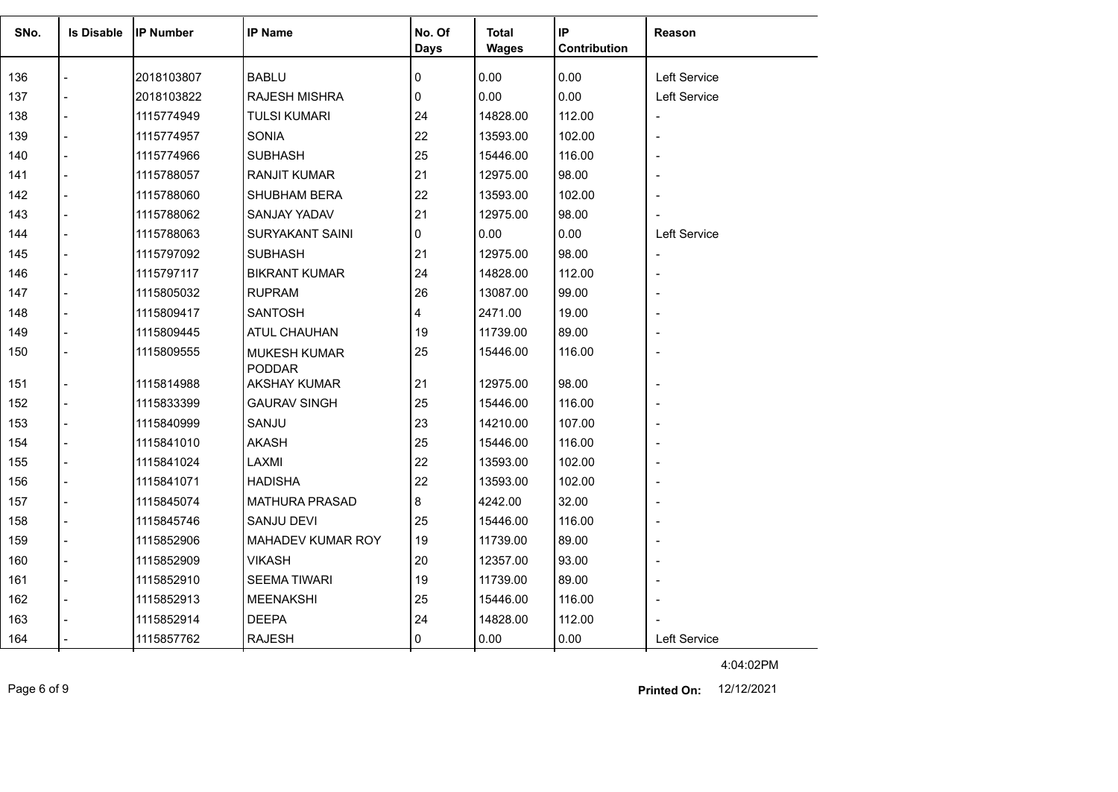| SNo. | <b>Is Disable</b> | <b>IP Number</b> | <b>IP Name</b>                       | No. Of      | <b>Total</b> | IP           | <b>Reason</b>            |
|------|-------------------|------------------|--------------------------------------|-------------|--------------|--------------|--------------------------|
|      |                   |                  |                                      | <b>Days</b> | <b>Wages</b> | Contribution |                          |
| 136  |                   | 2018103807       | <b>BABLU</b>                         | 0           | 0.00         | 0.00         | Left Service             |
| 137  |                   | 2018103822       | RAJESH MISHRA                        | 0           | 0.00         | 0.00         | Left Service             |
| 138  | $\overline{a}$    | 1115774949       | <b>TULSI KUMARI</b>                  | 24          | 14828.00     | 112.00       | $\blacksquare$           |
| 139  |                   | 1115774957       | <b>SONIA</b>                         | 22          | 13593.00     | 102.00       |                          |
| 140  |                   | 1115774966       | <b>SUBHASH</b>                       | 25          | 15446.00     | 116.00       | $\overline{a}$           |
| 141  |                   | 1115788057       | <b>RANJIT KUMAR</b>                  | 21          | 12975.00     | 98.00        |                          |
| 142  |                   | 1115788060       | <b>SHUBHAM BERA</b>                  | 22          | 13593.00     | 102.00       |                          |
| 143  |                   | 1115788062       | <b>SANJAY YADAV</b>                  | 21          | 12975.00     | 98.00        |                          |
| 144  |                   | 1115788063       | <b>SURYAKANT SAINI</b>               | 0           | 0.00         | 0.00         | Left Service             |
| 145  |                   | 1115797092       | <b>SUBHASH</b>                       | 21          | 12975.00     | 98.00        | $\overline{\phantom{a}}$ |
| 146  |                   | 1115797117       | <b>BIKRANT KUMAR</b>                 | 24          | 14828.00     | 112.00       |                          |
| 147  |                   | 1115805032       | <b>RUPRAM</b>                        | 26          | 13087.00     | 99.00        |                          |
| 148  | $\overline{a}$    | 1115809417       | <b>SANTOSH</b>                       | 4           | 2471.00      | 19.00        |                          |
| 149  |                   | 1115809445       | ATUL CHAUHAN                         | 19          | 11739.00     | 89.00        |                          |
| 150  |                   | 1115809555       | <b>MUKESH KUMAR</b>                  | 25          | 15446.00     | 116.00       | $\blacksquare$           |
| 151  |                   | 1115814988       | <b>PODDAR</b><br><b>AKSHAY KUMAR</b> | 21          | 12975.00     | 98.00        | $\overline{\phantom{a}}$ |
| 152  |                   | 1115833399       | <b>GAURAV SINGH</b>                  | 25          | 15446.00     | 116.00       | $\blacksquare$           |
| 153  | $\overline{a}$    | 1115840999       | SANJU                                | 23          | 14210.00     | 107.00       | $\overline{\phantom{a}}$ |
| 154  |                   | 1115841010       | AKASH                                | 25          | 15446.00     | 116.00       |                          |
| 155  | $\overline{a}$    | 1115841024       | LAXMI                                | 22          | 13593.00     | 102.00       |                          |
| 156  |                   | 1115841071       | <b>HADISHA</b>                       | 22          | 13593.00     | 102.00       |                          |
| 157  |                   | 1115845074       | <b>MATHURA PRASAD</b>                | 8           | 4242.00      | 32.00        |                          |
| 158  |                   | 1115845746       | <b>SANJU DEVI</b>                    | 25          | 15446.00     | 116.00       |                          |
| 159  |                   | 1115852906       | MAHADEV KUMAR ROY                    | 19          | 11739.00     | 89.00        | $\overline{\phantom{a}}$ |
| 160  |                   | 1115852909       | VIKASH                               | 20          | 12357.00     | 93.00        | $\blacksquare$           |
| 161  | $\overline{a}$    | 1115852910       | <b>SEEMA TIWARI</b>                  | 19          | 11739.00     | 89.00        |                          |
| 162  | $\blacksquare$    | 1115852913       | <b>MEENAKSHI</b>                     | 25          | 15446.00     | 116.00       | $\blacksquare$           |
| 163  |                   | 1115852914       | <b>DEEPA</b>                         | 24          | 14828.00     | 112.00       |                          |
| 164  |                   | 1115857762       | <b>RAJESH</b>                        | $\Omega$    | 0.00         | 0.00         | Left Service             |
|      |                   |                  |                                      |             |              |              |                          |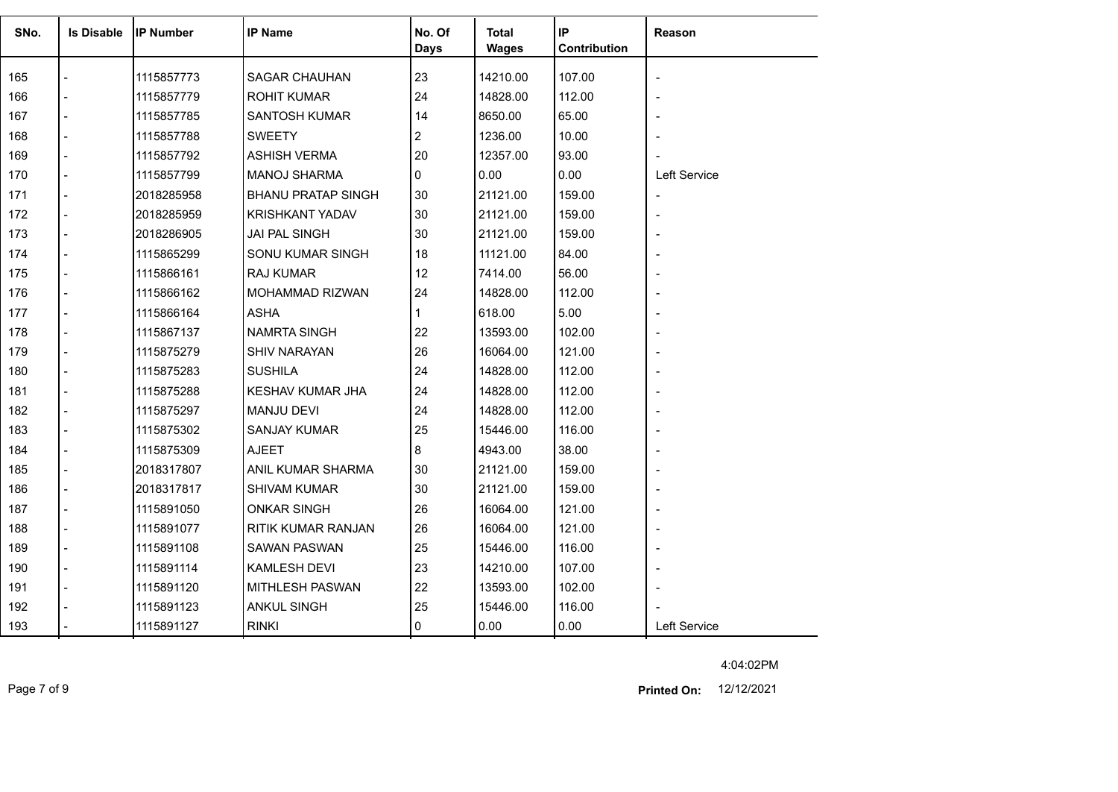| SNo.<br><b>Is Disable</b> |                |                  | <b>IP Name</b>            | No. Of       | <b>Total</b> | IP           |                          |
|---------------------------|----------------|------------------|---------------------------|--------------|--------------|--------------|--------------------------|
|                           |                | <b>IP Number</b> |                           | Days         | <b>Wages</b> | Contribution | Reason                   |
|                           |                |                  |                           |              |              |              |                          |
| 165                       |                | 1115857773       | <b>SAGAR CHAUHAN</b>      | 23           | 14210.00     | 107.00       | $\overline{a}$           |
| 166                       |                | 1115857779       | <b>ROHIT KUMAR</b>        | 24           | 14828.00     | 112.00       | $\blacksquare$           |
| 167                       |                | 1115857785       | <b>SANTOSH KUMAR</b>      | 14           | 8650.00      | 65.00        | $\overline{\phantom{a}}$ |
| 168                       |                | 1115857788       | <b>SWEETY</b>             | 2            | 1236.00      | 10.00        |                          |
| 169                       |                | 1115857792       | <b>ASHISH VERMA</b>       | 20           | 12357.00     | 93.00        |                          |
| 170                       | $\overline{a}$ | 1115857799       | <b>MANOJ SHARMA</b>       | 0            | 0.00         | 0.00         | Left Service             |
| 171                       | $\overline{a}$ | 2018285958       | <b>BHANU PRATAP SINGH</b> | 30           | 21121.00     | 159.00       | $\overline{\phantom{a}}$ |
| 172                       | $\overline{a}$ | 2018285959       | <b>KRISHKANT YADAV</b>    | 30           | 21121.00     | 159.00       | ÷,                       |
| 173                       | $\overline{a}$ | 2018286905       | JAI PAL SINGH             | 30           | 21121.00     | 159.00       | ۰                        |
| 174                       |                | 1115865299       | SONU KUMAR SINGH          | 18           | 11121.00     | 84.00        | $\overline{\phantom{a}}$ |
| 175                       | $\overline{a}$ | 1115866161       | RAJ KUMAR                 | 12           | 7414.00      | 56.00        | ÷,                       |
| 176                       | $\overline{a}$ | 1115866162       | MOHAMMAD RIZWAN           | 24           | 14828.00     | 112.00       | $\overline{\phantom{a}}$ |
| 177                       | $\blacksquare$ | 1115866164       | <b>ASHA</b>               | $\mathbf{1}$ | 618.00       | 5.00         | $\overline{\phantom{a}}$ |
| 178                       | $\overline{a}$ | 1115867137       | <b>NAMRTA SINGH</b>       | 22           | 13593.00     | 102.00       |                          |
| 179                       |                | 1115875279       | <b>SHIV NARAYAN</b>       | 26           | 16064.00     | 121.00       | $\overline{a}$           |
| 180                       |                | 1115875283       | <b>SUSHILA</b>            | 24           | 14828.00     | 112.00       | $\overline{\phantom{a}}$ |
| 181                       |                | 1115875288       | <b>KESHAV KUMAR JHA</b>   | 24           | 14828.00     | 112.00       | $\overline{\phantom{a}}$ |
| 182                       |                | 1115875297       | MANJU DEVI                | 24           | 14828.00     | 112.00       | $\overline{\phantom{a}}$ |
| 183                       | $\overline{a}$ | 1115875302       | <b>SANJAY KUMAR</b>       | 25           | 15446.00     | 116.00       | $\blacksquare$           |
| 184                       | $\overline{a}$ | 1115875309       | <b>AJEET</b>              | 8            | 4943.00      | 38.00        | $\overline{\phantom{a}}$ |
| 185                       | $\overline{a}$ | 2018317807       | ANIL KUMAR SHARMA         | 30           | 21121.00     | 159.00       | $\overline{a}$           |
| 186                       | $\overline{a}$ | 2018317817       | SHIVAM KUMAR              | 30           | 21121.00     | 159.00       | $\blacksquare$           |
| 187                       |                | 1115891050       | <b>ONKAR SINGH</b>        | 26           | 16064.00     | 121.00       | ۰                        |
| 188                       |                | 1115891077       | RITIK KUMAR RANJAN        | 26           | 16064.00     | 121.00       |                          |
| 189                       | $\overline{a}$ | 1115891108       | <b>SAWAN PASWAN</b>       | 25           | 15446.00     | 116.00       | $\overline{\phantom{a}}$ |
| 190                       | $\overline{a}$ | 1115891114       | <b>KAMLESH DEVI</b>       | 23           | 14210.00     | 107.00       | $\blacksquare$           |
| 191                       |                | 1115891120       | <b>MITHLESH PASWAN</b>    | 22           | 13593.00     | 102.00       |                          |
| 192                       |                | 1115891123       | <b>ANKUL SINGH</b>        | 25           | 15446.00     | 116.00       |                          |
| 193                       |                | 1115891127       | <b>RINKI</b>              | 0            | 0.00         | 0.00         | Left Service             |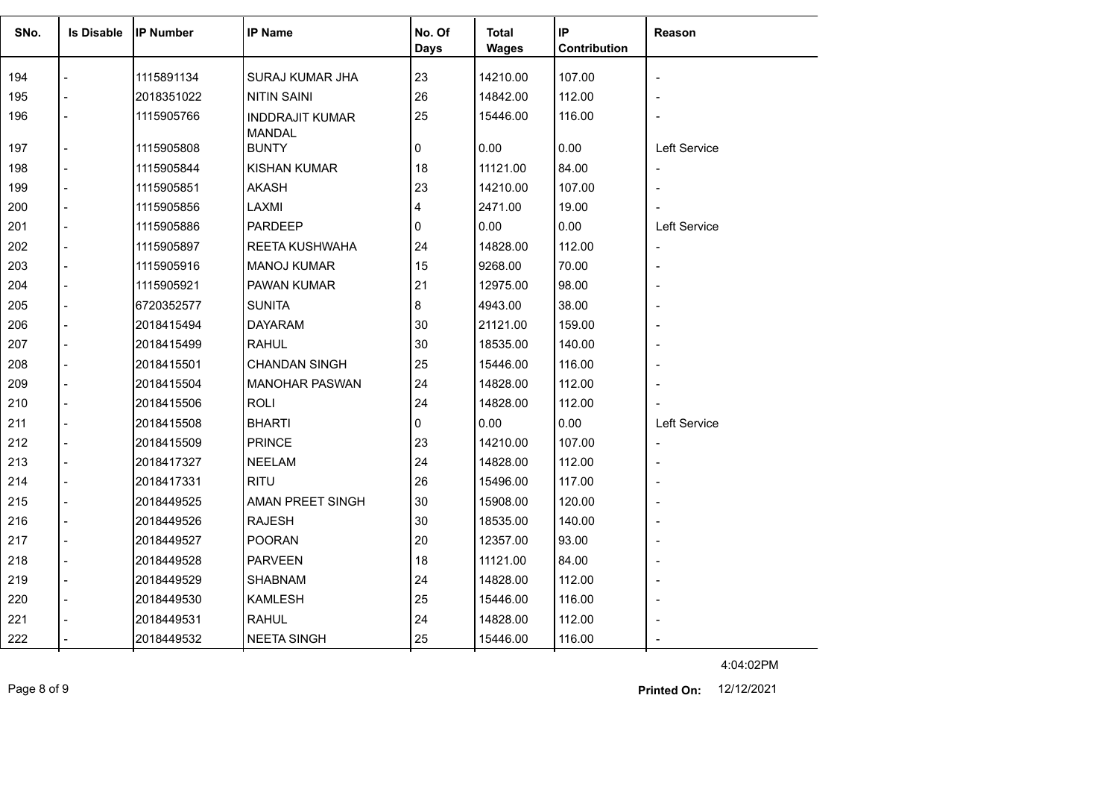| SNo. | <b>Is Disable</b> | <b>IP Number</b> | <b>IP Name</b>                          | No. Of      | <b>Total</b> | IP           | Reason                       |
|------|-------------------|------------------|-----------------------------------------|-------------|--------------|--------------|------------------------------|
|      |                   |                  |                                         | <b>Days</b> | <b>Wages</b> | Contribution |                              |
| 194  |                   | 1115891134       | SURAJ KUMAR JHA                         | 23          | 14210.00     | 107.00       | $\qquad \qquad \blacksquare$ |
| 195  |                   | 2018351022       | <b>NITIN SAINI</b>                      | 26          | 14842.00     | 112.00       |                              |
| 196  |                   | 1115905766       | <b>INDDRAJIT KUMAR</b><br><b>MANDAL</b> | 25          | 15446.00     | 116.00       |                              |
| 197  |                   | 1115905808       | <b>BUNTY</b>                            | 0           | 0.00         | 0.00         | Left Service                 |
| 198  |                   | 1115905844       | <b>KISHAN KUMAR</b>                     | 18          | 11121.00     | 84.00        | $\overline{\phantom{a}}$     |
| 199  |                   | 1115905851       | <b>AKASH</b>                            | 23          | 14210.00     | 107.00       |                              |
| 200  |                   | 1115905856       | LAXMI                                   | 4           | 2471.00      | 19.00        |                              |
| 201  |                   | 1115905886       | <b>PARDEEP</b>                          | $\Omega$    | 0.00         | 0.00         | Left Service                 |
| 202  |                   | 1115905897       | REETA KUSHWAHA                          | 24          | 14828.00     | 112.00       | $\overline{\phantom{a}}$     |
| 203  |                   | 1115905916       | <b>MANOJ KUMAR</b>                      | 15          | 9268.00      | 70.00        | $\blacksquare$               |
| 204  |                   | 1115905921       | <b>PAWAN KUMAR</b>                      | 21          | 12975.00     | 98.00        |                              |
| 205  |                   | 6720352577       | <b>SUNITA</b>                           | 8           | 4943.00      | 38.00        |                              |
| 206  |                   | 2018415494       | <b>DAYARAM</b>                          | 30          | 21121.00     | 159.00       |                              |
| 207  |                   | 2018415499       | <b>RAHUL</b>                            | 30          | 18535.00     | 140.00       |                              |
| 208  |                   | 2018415501       | <b>CHANDAN SINGH</b>                    | 25          | 15446.00     | 116.00       |                              |
| 209  |                   | 2018415504       | <b>MANOHAR PASWAN</b>                   | 24          | 14828.00     | 112.00       |                              |
| 210  |                   | 2018415506       | <b>ROLI</b>                             | 24          | 14828.00     | 112.00       |                              |
| 211  |                   | 2018415508       | <b>BHARTI</b>                           | 0           | 0.00         | 0.00         | Left Service                 |
| 212  |                   | 2018415509       | <b>PRINCE</b>                           | 23          | 14210.00     | 107.00       | $\overline{\phantom{a}}$     |
| 213  |                   | 2018417327       | <b>NEELAM</b>                           | 24          | 14828.00     | 112.00       |                              |
| 214  |                   | 2018417331       | <b>RITU</b>                             | 26          | 15496.00     | 117.00       |                              |
| 215  |                   | 2018449525       | AMAN PREET SINGH                        | 30          | 15908.00     | 120.00       |                              |
| 216  |                   | 2018449526       | <b>RAJESH</b>                           | 30          | 18535.00     | 140.00       |                              |
| 217  |                   | 2018449527       | <b>POORAN</b>                           | 20          | 12357.00     | 93.00        |                              |
| 218  |                   | 2018449528       | <b>PARVEEN</b>                          | 18          | 11121.00     | 84.00        |                              |
| 219  |                   | 2018449529       | <b>SHABNAM</b>                          | 24          | 14828.00     | 112.00       |                              |
| 220  |                   | 2018449530       | <b>KAMLESH</b>                          | 25          | 15446.00     | 116.00       |                              |
| 221  |                   | 2018449531       | <b>RAHUL</b>                            | 24          | 14828.00     | 112.00       |                              |
| 222  |                   | 2018449532       | <b>NEETA SINGH</b>                      | 25          | 15446.00     | 116.00       | $\blacksquare$               |

Page 8 of 9 12/12/2021 **Printed On:**